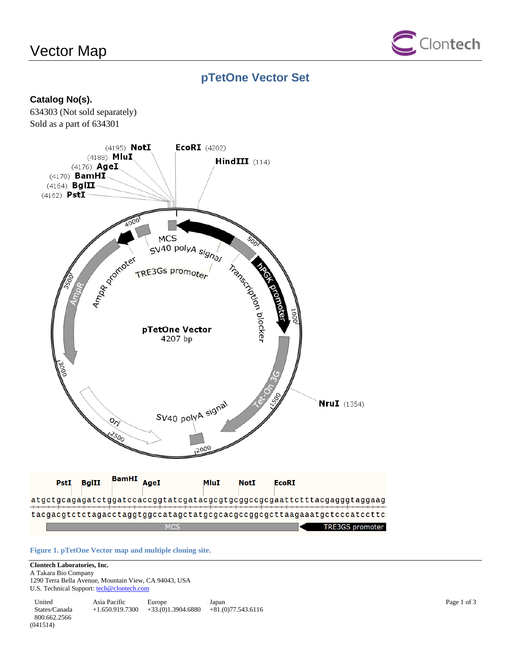# Vector Map



## **pTetOne Vector Set**

### **Catalog No(s).**

634303 (Not sold separately) Sold as a part of 634301



**Figure 1. pTetOne Vector map and multiple cloning site.**

### **Clontech Laboratories, Inc.**

A Takara Bio Company 1290 Terra Bella Avenue, Mountain View, CA 94043, USA U.S. Technical Support[: tech@clontech.com](mailto:tech@clontech.com)

United States/Canada 800.662.2566 Asia Pacific +1.650.919.7300 +33.(0)1.3904.6880 +81.(0)77.543.6116 Europe Japan (041514)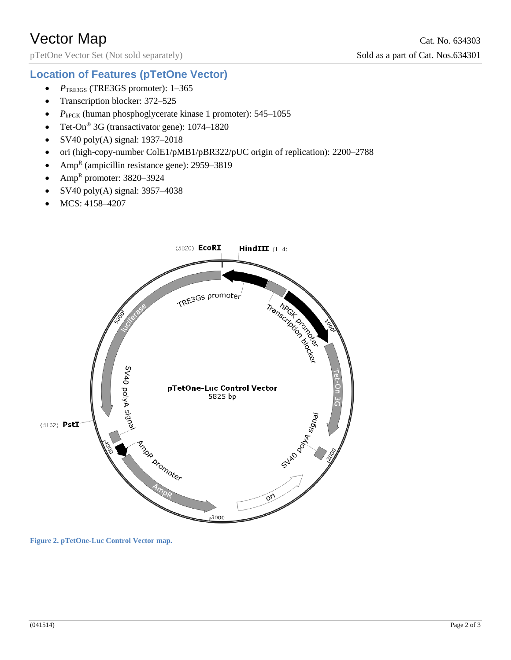pTetOne Vector Set (Not sold separately) Sold as a part of Cat. Nos.634301

## **Location of Features (pTetOne Vector)**

- *P*TRE3GS (TRE3GS promoter): 1–365
- Transcription blocker: 372–525
- $\bullet$  *P*<sub>hPGK</sub> (human phosphoglycerate kinase 1 promoter): 545–1055
- Tet-On<sup>®</sup> 3G (transactivator gene): 1074–1820
- SV40 poly(A) signal:  $1937-2018$
- ori (high-copy-number ColE1/pMB1/pBR322/pUC origin of replication): 2200–2788
- Amp<sup>R</sup> (ampicillin resistance gene): 2959–3819
- Amp<sup>R</sup> promoter:  $3820 3924$
- SV40 poly(A) signal: 3957–4038
- MCS: 4158–4207



**Figure 2. pTetOne-Luc Control Vector map.**